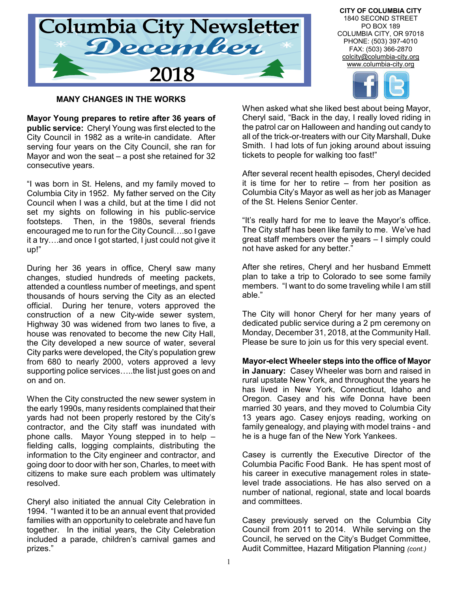

**CITY OF COLUMBIA CITY** 1840 SECOND STREET PO BOX 189 COLUMBIA CITY, OR 97018 PHONE: (503) 397-4010 FAX: (503) 366-2870 colcity@columbia-city.org www.columbia-city.org



# **MANY CHANGES IN THE WORKS**

**Mayor Young prepares to retire after 36 years of public service:** Cheryl Young was first elected to the City Council in 1982 as a write-in candidate. After serving four years on the City Council, she ran for Mayor and won the seat – a post she retained for 32 consecutive years.

"I was born in St. Helens, and my family moved to Columbia City in 1952. My father served on the City Council when I was a child, but at the time I did not set my sights on following in his public-service footsteps. Then, in the 1980s, several friends encouraged me to run for the City Council….so I gave it a try….and once I got started, I just could not give it up!"

During her 36 years in office, Cheryl saw many changes, studied hundreds of meeting packets, attended a countless number of meetings, and spent thousands of hours serving the City as an elected official. During her tenure, voters approved the construction of a new City-wide sewer system, Highway 30 was widened from two lanes to five, a house was renovated to become the new City Hall, the City developed a new source of water, several City parks were developed, the City's population grew from 680 to nearly 2000, voters approved a levy supporting police services…..the list just goes on and on and on.

When the City constructed the new sewer system in the early 1990s, many residents complained that their yards had not been properly restored by the City's contractor, and the City staff was inundated with phone calls. Mayor Young stepped in to help – fielding calls, logging complaints, distributing the information to the City engineer and contractor, and going door to door with her son, Charles, to meet with citizens to make sure each problem was ultimately resolved.

Cheryl also initiated the annual City Celebration in 1994. "I wanted it to be an annual event that provided families with an opportunity to celebrate and have fun together. In the initial years, the City Celebration included a parade, children's carnival games and prizes."

When asked what she liked best about being Mayor, Cheryl said, "Back in the day, I really loved riding in the patrol car on Halloween and handing out candy to all of the trick-or-treaters with our City Marshall, Duke Smith. I had lots of fun joking around about issuing tickets to people for walking too fast!"

After several recent health episodes, Cheryl decided it is time for her to retire – from her position as Columbia City's Mayor as well as her job as Manager of the St. Helens Senior Center.

"It's really hard for me to leave the Mayor's office. The City staff has been like family to me. We've had great staff members over the years – I simply could not have asked for any better."

After she retires, Cheryl and her husband Emmett plan to take a trip to Colorado to see some family members. "I want to do some traveling while I am still able."

The City will honor Cheryl for her many years of dedicated public service during a 2 pm ceremony on Monday, December 31, 2018, at the Community Hall. Please be sure to join us for this very special event.

**Mayor-elect Wheeler steps into the office of Mayor in January:** Casey Wheeler was born and raised in rural upstate New York, and throughout the years he has lived in New York, Connecticut, Idaho and Oregon. Casey and his wife Donna have been married 30 years, and they moved to Columbia City 13 years ago. Casey enjoys reading, working on family genealogy, and playing with model trains - and he is a huge fan of the New York Yankees.

Casey is currently the Executive Director of the Columbia Pacific Food Bank. He has spent most of his career in executive management roles in statelevel trade associations. He has also served on a number of national, regional, state and local boards and committees.

Casey previously served on the Columbia City Council from 2011 to 2014. While serving on the Council, he served on the City's Budget Committee, Audit Committee, Hazard Mitigation Planning *(cont.)*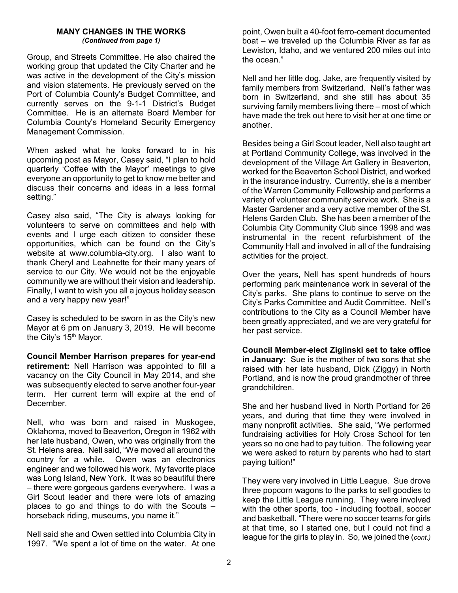### **MANY CHANGES IN THE WORKS** *(Continued from page 1)*

Group, and Streets Committee. He also chaired the working group that updated the City Charter and he was active in the development of the City's mission and vision statements. He previously served on the Port of Columbia County's Budget Committee, and currently serves on the 9-1-1 District's Budget Committee. He is an alternate Board Member for Columbia County's Homeland Security Emergency Management Commission.

When asked what he looks forward to in his upcoming post as Mayor, Casey said, "I plan to hold quarterly 'Coffee with the Mayor' meetings to give everyone an opportunity to get to know me better and discuss their concerns and ideas in a less formal setting."

Casey also said, "The City is always looking for volunteers to serve on committees and help with events and I urge each citizen to consider these opportunities, which can be found on the City's website at www.columbia-city.org. I also want to thank Cheryl and Leahnette for their many years of service to our City. We would not be the enjoyable community we are without their vision and leadership. Finally, I want to wish you all a joyous holiday season and a very happy new year!"

Casey is scheduled to be sworn in as the City's new Mayor at 6 pm on January 3, 2019. He will become the City's 15<sup>th</sup> Mayor.

**Council Member Harrison prepares for year-end retirement:** Nell Harrison was appointed to fill a vacancy on the City Council in May 2014, and she was subsequently elected to serve another four-year term. Her current term will expire at the end of December.

Nell, who was born and raised in Muskogee, Oklahoma, moved to Beaverton, Oregon in 1962 with her late husband, Owen, who was originally from the St. Helens area. Nell said, "We moved all around the country for a while. Owen was an electronics engineer and we followed his work. My favorite place was Long Island, New York. It was so beautiful there – there were gorgeous gardens everywhere. I was a Girl Scout leader and there were lots of amazing places to go and things to do with the Scouts – horseback riding, museums, you name it."

Nell said she and Owen settled into Columbia City in 1997. "We spent a lot of time on the water. At one

point, Owen built a 40-foot ferro-cement documented boat – we traveled up the Columbia River as far as Lewiston, Idaho, and we ventured 200 miles out into the ocean."

Nell and her little dog, Jake, are frequently visited by family members from Switzerland. Nell's father was born in Switzerland, and she still has about 35 surviving family members living there – most of which have made the trek out here to visit her at one time or another.

Besides being a Girl Scout leader, Nell also taught art at Portland Community College, was involved in the development of the Village Art Gallery in Beaverton, worked for the Beaverton School District, and worked in the insurance industry. Currently, she is a member of the Warren Community Fellowship and performs a variety of volunteer community service work. She is a Master Gardener and a very active member of the St. Helens Garden Club. She has been a member of the Columbia City Community Club since 1998 and was instrumental in the recent refurbishment of the Community Hall and involved in all of the fundraising activities for the project.

Over the years, Nell has spent hundreds of hours performing park maintenance work in several of the City's parks. She plans to continue to serve on the City's Parks Committee and Audit Committee. Nell's contributions to the City as a Council Member have been greatly appreciated, and we are very grateful for her past service.

**Council Member-elect Ziglinski set to take office in January:** Sue is the mother of two sons that she raised with her late husband, Dick (Ziggy) in North Portland, and is now the proud grandmother of three grandchildren.

She and her husband lived in North Portland for 26 years, and during that time they were involved in many nonprofit activities. She said, "We performed fundraising activities for Holy Cross School for ten years so no one had to pay tuition. The following year we were asked to return by parents who had to start paying tuition!"

They were very involved in Little League. Sue drove three popcorn wagons to the parks to sell goodies to keep the Little League running. They were involved with the other sports, too - including football, soccer and basketball. "There were no soccer teams for girls at that time, so I started one, but I could not find a league for the girls to play in. So, we joined the (*cont.)*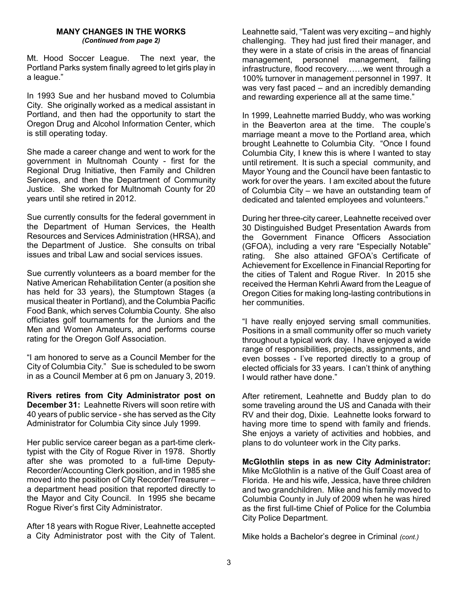#### **MANY CHANGES IN THE WORKS** *(Continued from page 2)*

Mt. Hood Soccer League. The next year, the Portland Parks system finally agreed to let girls play in a league."

In 1993 Sue and her husband moved to Columbia City. She originally worked as a medical assistant in Portland, and then had the opportunity to start the Oregon Drug and Alcohol Information Center, which is still operating today.

She made a career change and went to work for the government in Multnomah County - first for the Regional Drug Initiative, then Family and Children Services, and then the Department of Community Justice. She worked for Multnomah County for 20 years until she retired in 2012.

Sue currently consults for the federal government in the Department of Human Services, the Health Resources and Services Administration (HRSA), and the Department of Justice. She consults on tribal issues and tribal Law and social services issues.

Sue currently volunteers as a board member for the Native American Rehabilitation Center (a position she has held for 33 years), the Stumptown Stages (a musical theater in Portland), and the Columbia Pacific Food Bank, which serves Columbia County. She also officiates golf tournaments for the Juniors and the Men and Women Amateurs, and performs course rating for the Oregon Golf Association.

"I am honored to serve as a Council Member for the City of Columbia City." Sue is scheduled to be sworn in as a Council Member at 6 pm on January 3, 2019.

**Rivers retires from City Administrator post on December 31:** Leahnette Rivers will soon retire with 40 years of public service - she has served as the City Administrator for Columbia City since July 1999.

Her public service career began as a part-time clerktypist with the City of Rogue River in 1978. Shortly after she was promoted to a full-time Deputy-Recorder/Accounting Clerk position, and in 1985 she moved into the position of City Recorder/Treasurer – a department head position that reported directly to the Mayor and City Council. In 1995 she became Rogue River's first City Administrator.

After 18 years with Rogue River, Leahnette accepted a City Administrator post with the City of Talent.

Leahnette said, "Talent was very exciting – and highly challenging. They had just fired their manager, and they were in a state of crisis in the areas of financial management, personnel management, failing infrastructure, flood recovery……we went through a 100% turnover in management personnel in 1997. It was very fast paced – and an incredibly demanding and rewarding experience all at the same time."

In 1999, Leahnette married Buddy, who was working in the Beaverton area at the time. The couple's marriage meant a move to the Portland area, which brought Leahnette to Columbia City. "Once I found Columbia City, I knew this is where I wanted to stay until retirement. It is such a special community, and Mayor Young and the Council have been fantastic to work for over the years. I am excited about the future of Columbia City – we have an outstanding team of dedicated and talented employees and volunteers."

During her three-city career, Leahnette received over 30 Distinguished Budget Presentation Awards from the Government Finance Officers Association (GFOA), including a very rare "Especially Notable" rating. She also attained GFOA's Certificate of Achievement for Excellence in Financial Reporting for the cities of Talent and Rogue River. In 2015 she received the Herman Kehrli Award from the League of Oregon Cities for making long-lasting contributions in her communities.

"I have really enjoyed serving small communities. Positions in a small community offer so much variety throughout a typical work day. I have enjoyed a wide range of responsibilities, projects, assignments, and even bosses - I've reported directly to a group of elected officials for 33 years. I can't think of anything I would rather have done."

After retirement, Leahnette and Buddy plan to do some traveling around the US and Canada with their RV and their dog, Dixie. Leahnette looks forward to having more time to spend with family and friends. She enjoys a variety of activities and hobbies, and plans to do volunteer work in the City parks.

**McGlothlin steps in as new City Administrator:**  Mike McGlothlin is a native of the Gulf Coast area of Florida. He and his wife, Jessica, have three children and two grandchildren. Mike and his family moved to Columbia County in July of 2009 when he was hired as the first full-time Chief of Police for the Columbia City Police Department.

Mike holds a Bachelor's degree in Criminal *(cont.)*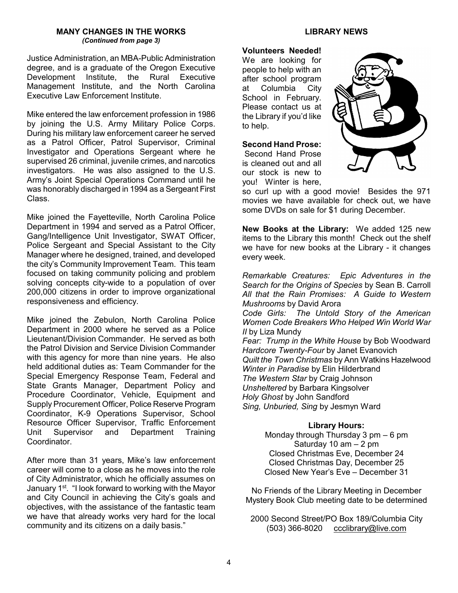### **MANY CHANGES IN THE WORKS** *(Continued from page 3)*

Justice Administration, an MBA-Public Administration degree, and is a graduate of the Oregon Executive Development Institute, the Rural Executive Management Institute, and the North Carolina Executive Law Enforcement Institute.

Mike entered the law enforcement profession in 1986 by joining the U.S. Army Military Police Corps. During his military law enforcement career he served as a Patrol Officer, Patrol Supervisor, Criminal Investigator and Operations Sergeant where he supervised 26 criminal, juvenile crimes, and narcotics investigators. He was also assigned to the U.S. Army's Joint Special Operations Command until he was honorably discharged in 1994 as a Sergeant First Class.

Mike joined the Fayetteville, North Carolina Police Department in 1994 and served as a Patrol Officer, Gang/Intelligence Unit Investigator, SWAT Officer, Police Sergeant and Special Assistant to the City Manager where he designed, trained, and developed the city's Community Improvement Team. This team focused on taking community policing and problem solving concepts city-wide to a population of over 200,000 citizens in order to improve organizational responsiveness and efficiency.

Mike joined the Zebulon, North Carolina Police Department in 2000 where he served as a Police Lieutenant/Division Commander. He served as both the Patrol Division and Service Division Commander with this agency for more than nine years. He also held additional duties as: Team Commander for the Special Emergency Response Team, Federal and State Grants Manager, Department Policy and Procedure Coordinator, Vehicle, Equipment and Supply Procurement Officer, Police Reserve Program Coordinator, K-9 Operations Supervisor, School Resource Officer Supervisor, Traffic Enforcement<br>Unit Supervisor and Department Training Supervisor and Department **Coordinator** 

After more than 31 years, Mike's law enforcement career will come to a close as he moves into the role of City Administrator, which he officially assumes on January 1st. "I look forward to working with the Mayor and City Council in achieving the City's goals and objectives, with the assistance of the fantastic team we have that already works very hard for the local community and its citizens on a daily basis."

### **Volunteers Needed!**

We are looking for people to help with an after school program at Columbia City School in February. Please contact us at the Library if you'd like to help.

### **Second Hand Prose:**

Second Hand Prose is cleaned out and all our stock is new to you! Winter is here,



so curl up with a good movie! Besides the 971 movies we have available for check out, we have some DVDs on sale for \$1 during December.

**New Books at the Library:** We added 125 new items to the Library this month! Check out the shelf we have for new books at the Library - it changes every week.

*Remarkable Creatures: Epic Adventures in the Search for the Origins of Species* by Sean B. Carroll *All that the Rain Promises: A Guide to Western Mushrooms* by David Arora

*Code Girls: The Untold Story of the American Women Code Breakers Who Helped Win World War II* by Liza Mundy

*Fear: Trump in the White House* by Bob Woodward *Hardcore Twenty-Four* by Janet Evanovich *Quilt the Town Christmas* by Ann Watkins Hazelwood *Winter in Paradise* by Elin Hilderbrand *The Western Star* by Craig Johnson *Unsheltered* by Barbara Kingsolver *Holy Ghost* by John Sandford *Sing, Unburied, Sing* by Jesmyn Ward

### **Library Hours:**

Monday through Thursday 3 pm – 6 pm Saturday 10 am – 2 pm Closed Christmas Eve, December 24 Closed Christmas Day, December 25 Closed New Year's Eve – December 31

No Friends of the Library Meeting in December Mystery Book Club meeting date to be determined

2000 Second Street/PO Box 189/Columbia City (503) 366-8020 ccclibrary@live.com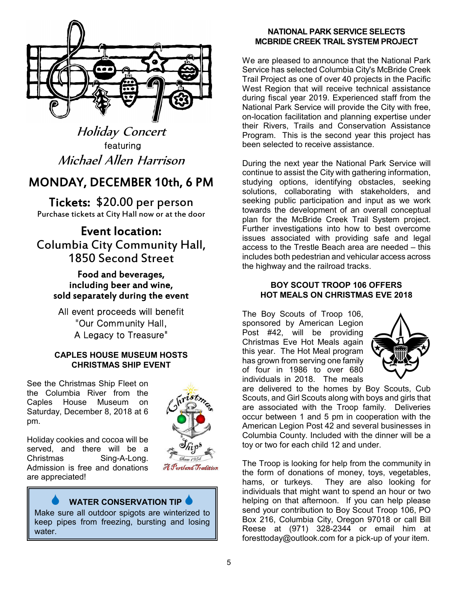

Holiday Concert featuring Michael Allen Harrison

# MONDAY, DECEMBER 10th, 6 PM

Tickets: \$20.00 per person Purchase tickets at City Hall now or at the door

# Event location: Columbia City Community Hall, 1850 Second Street

Food and beverages, including beer and wine, sold separately during the event

All event proceeds will benefit "Our Community Hall, A Legacy to Treasure"

# **CAPLES HOUSE MUSEUM HOSTS CHRISTMAS SHIP EVENT**

See the Christmas Ship Fleet on the Columbia River from the Caples House Museum on Saturday, December 8, 2018 at 6 pm.



Holiday cookies and cocoa will be served, and there will be a Christmas Sing-A-Long. Admission is free and donations are appreciated!

# **WATER CONSERVATION TIP**

Make sure all outdoor spigots are winterized to keep pipes from freezing, bursting and losing water.

## **NATIONAL PARK SERVICE SELECTS MCBRIDE CREEK TRAIL SYSTEM PROJECT**

We are pleased to announce that the National Park Service has selected Columbia City's McBride Creek Trail Project as one of over 40 projects in the Pacific West Region that will receive technical assistance during fiscal year 2019. Experienced staff from the National Park Service will provide the City with free, on-location facilitation and planning expertise under their Rivers, Trails and Conservation Assistance Program. This is the second year this project has been selected to receive assistance.

During the next year the National Park Service will continue to assist the City with gathering information, studying options, identifying obstacles, seeking solutions, collaborating with stakeholders, and seeking public participation and input as we work towards the development of an overall conceptual plan for the McBride Creek Trail System project. Further investigations into how to best overcome issues associated with providing safe and legal access to the Trestle Beach area are needed – this includes both pedestrian and vehicular access across the highway and the railroad tracks.

## **BOY SCOUT TROOP 106 OFFERS HOT MEALS ON CHRISTMAS EVE 2018**

The Boy Scouts of Troop 106, sponsored by American Legion Post #42, will be providing Christmas Eve Hot Meals again this year. The Hot Meal program has grown from serving one family of four in 1986 to over 680 individuals in 2018. The meals



are delivered to the homes by Boy Scouts, Cub Scouts, and Girl Scouts along with boys and girls that are associated with the Troop family. Deliveries occur between 1 and 5 pm in cooperation with the American Legion Post 42 and several businesses in Columbia County. Included with the dinner will be a toy or two for each child 12 and under.

The Troop is looking for help from the community in the form of donations of money, toys, vegetables, hams, or turkeys. They are also looking for individuals that might want to spend an hour or two helping on that afternoon. If you can help please send your contribution to Boy Scout Troop 106, PO Box 216, Columbia City, Oregon 97018 or call Bill Reese at (971) 328-2344 or email him at foresttoday@outlook.com for a pick-up of your item.